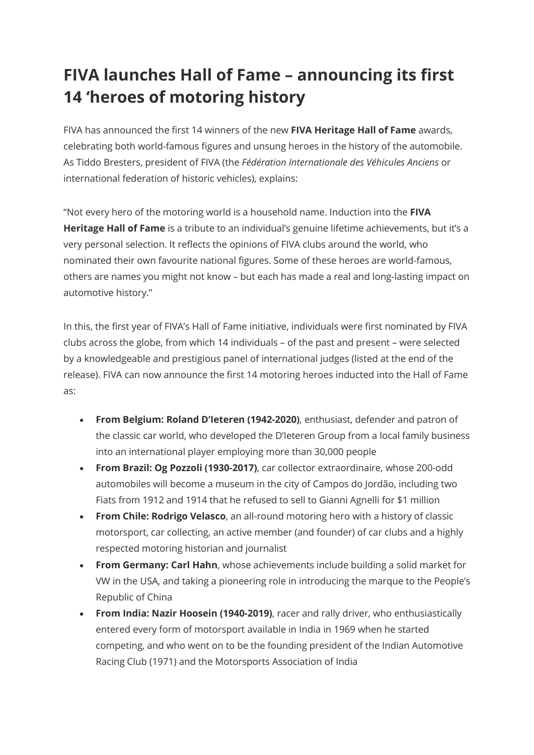## **FIVA launches Hall of Fame – announcing its first 14 'heroes of motoring history**

FIVA has announced the first 14 winners of the new **FIVA Heritage Hall of Fame** awards, celebrating both world-famous figures and unsung heroes in the history of the automobile. As Tiddo Bresters, president of FIVA (the *Fédération Internationale des Véhicules Anciens* or international federation of historic vehicles), explains:

"Not every hero of the motoring world is a household name. Induction into the **FIVA Heritage Hall of Fame** is a tribute to an individual's genuine lifetime achievements, but it's a very personal selection. It reflects the opinions of FIVA clubs around the world, who nominated their own favourite national figures. Some of these heroes are world-famous, others are names you might not know – but each has made a real and long-lasting impact on automotive history."

In this, the first year of FIVA's Hall of Fame initiative, individuals were first nominated by FIVA clubs across the globe, from which 14 individuals – of the past and present – were selected by a knowledgeable and prestigious panel of international judges (listed at the end of the release). FIVA can now announce the first 14 motoring heroes inducted into the Hall of Fame as:

- **From Belgium: Roland D'Ieteren (1942-2020)**, enthusiast, defender and patron of the classic car world, who developed the D'Ieteren Group from a local family business into an international player employing more than 30,000 people
- **From Brazil: Og Pozzoli (1930-2017)**, car collector extraordinaire, whose 200-odd automobiles will become a museum in the city of Campos do Jordão, including two Fiats from 1912 and 1914 that he refused to sell to Gianni Agnelli for \$1 million
- **From Chile: Rodrigo Velasco**, an all-round motoring hero with a history of classic motorsport, car collecting, an active member (and founder) of car clubs and a highly respected motoring historian and journalist
- **From Germany: Carl Hahn**, whose achievements include building a solid market for VW in the USA, and taking a pioneering role in introducing the marque to the People's Republic of China
- **From India: Nazir Hoosein (1940-2019)**, racer and rally driver, who enthusiastically entered every form of motorsport available in India in 1969 when he started competing, and who went on to be the founding president of the Indian Automotive Racing Club (1971) and the Motorsports Association of India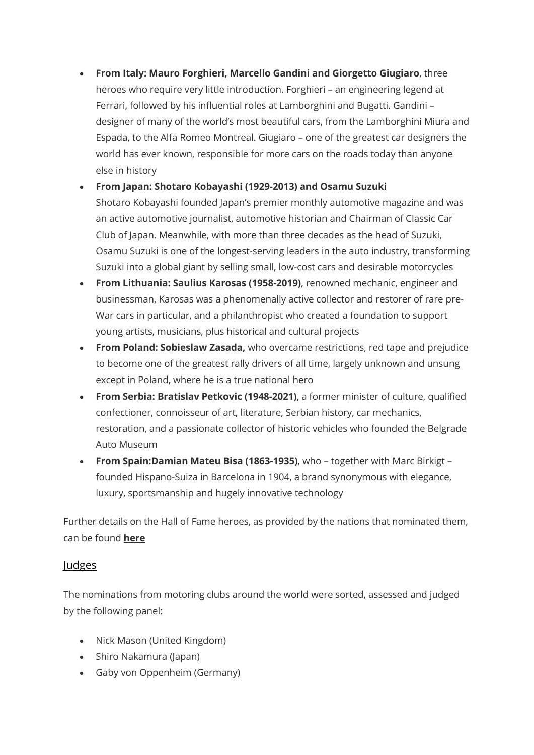• **From Italy: Mauro Forghieri, Marcello Gandini and Giorgetto Giugiaro**, three heroes who require very little introduction. Forghieri – an engineering legend at Ferrari, followed by his influential roles at Lamborghini and Bugatti. Gandini – designer of many of the world's most beautiful cars, from the Lamborghini Miura and Espada, to the Alfa Romeo Montreal. Giugiaro – one of the greatest car designers the world has ever known, responsible for more cars on the roads today than anyone else in history

• **From Japan: Shotaro Kobayashi (1929-2013) and Osamu Suzuki**

Shotaro Kobayashi founded Japan's premier monthly automotive magazine and was an active automotive journalist, automotive historian and Chairman of Classic Car Club of Japan. Meanwhile, with more than three decades as the head of Suzuki, Osamu Suzuki is one of the longest-serving leaders in the auto industry, transforming Suzuki into a global giant by selling small, low-cost cars and desirable motorcycles

- **From Lithuania: Saulius Karosas (1958-2019)**, renowned mechanic, engineer and businessman, Karosas was a phenomenally active collector and restorer of rare pre-War cars in particular, and a philanthropist who created a foundation to support young artists, musicians, plus historical and cultural projects
- **From Poland: Sobieslaw Zasada,** who overcame restrictions, red tape and prejudice to become one of the greatest rally drivers of all time, largely unknown and unsung except in Poland, where he is a true national hero
- **From Serbia: Bratislav Petkovic (1948-2021)**, a former minister of culture, qualified confectioner, connoisseur of art, literature, Serbian history, car mechanics, restoration, and a passionate collector of historic vehicles who founded the Belgrade Auto Museum
- **From Spain:Damian Mateu Bisa (1863-1935)**, who together with Marc Birkigt founded Hispano-Suiza in Barcelona in 1904, a brand synonymous with elegance, luxury, sportsmanship and hugely innovative technology

Further details on the Hall of Fame heroes, as provided by the nations that nominated them, can be found **[here](https://fiva.org/en/awards/hall-of-fame-the-winners/)**

## Judges

The nominations from motoring clubs around the world were sorted, assessed and judged by the following panel:

- Nick Mason (United Kingdom)
- Shiro Nakamura (Japan)
- Gaby von Oppenheim (Germany)